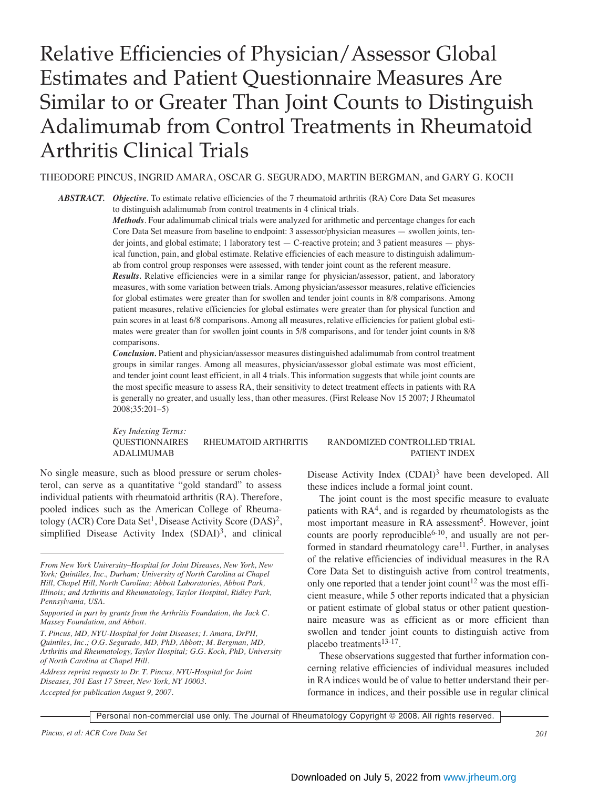# Relative Efficiencies of Physician/Assessor Global Estimates and Patient Questionnaire Measures Are Similar to or Greater Than Joint Counts to Distinguish Adalimumab from Control Treatments in Rheumatoid Arthritis Clinical Trials

THEODORE PINCUS, INGRID AMARA, OSCAR G. SEGURADO, MARTIN BERGMAN, and GARY G. KOCH

*ABSTRACT. Objective.* To estimate relative efficiencies of the 7 rheumatoid arthritis (RA) Core Data Set measures to distinguish adalimumab from control treatments in 4 clinical trials.

> *Methods*. Four adalimumab clinical trials were analyzed for arithmetic and percentage changes for each Core Data Set measure from baseline to endpoint: 3 assessor/physician measures — swollen joints, tender joints, and global estimate; 1 laboratory test — C-reactive protein; and 3 patient measures — physical function, pain, and global estimate. Relative efficiencies of each measure to distinguish adalimumab from control group responses were assessed, with tender joint count as the referent measure.

> *Results.* Relative efficiencies were in a similar range for physician/assessor, patient, and laboratory measures, with some variation between trials. Among physician/assessor measures, relative efficiencies for global estimates were greater than for swollen and tender joint counts in 8/8 comparisons. Among patient measures, relative efficiencies for global estimates were greater than for physical function and pain scores in at least 6/8 comparisons. Among all measures, relative efficiencies for patient global estimates were greater than for swollen joint counts in 5/8 comparisons, and for tender joint counts in 8/8 comparisons.

> *Conclusion.* Patient and physician/assessor measures distinguished adalimumab from control treatment groups in similar ranges. Among all measures, physician/assessor global estimate was most efficient, and tender joint count least efficient, in all 4 trials. This information suggests that while joint counts are the most specific measure to assess RA, their sensitivity to detect treatment effects in patients with RA is generally no greater, and usually less, than other measures. (First Release Nov 15 2007; J Rheumatol 2008;35:201–5)

> *Key Indexing Terms:* QUESTIONNAIRES RHEUMATOID ARTHRITIS RANDOMIZED CONTROLLED TRIAL ADALIMUMAB PATIENT INDEX

No single measure, such as blood pressure or serum cholesterol, can serve as a quantitative "gold standard" to assess individual patients with rheumatoid arthritis (RA). Therefore, pooled indices such as the American College of Rheumatology (ACR) Core Data Set<sup>1</sup>, Disease Activity Score (DAS)<sup>2</sup>, simplified Disease Activity Index  $(SDAI)^3$ , and clinical

*Address reprint requests to Dr. T. Pincus, NYU-Hospital for Joint Diseases, 301 East 17 Street, New York, NY 10003. Accepted for publication August 9, 2007.*

Disease Activity Index (CDAI)<sup>3</sup> have been developed. All these indices include a formal joint count.

The joint count is the most specific measure to evaluate patients with  $RA<sup>4</sup>$ , and is regarded by rheumatologists as the most important measure in RA assessment<sup>5</sup>. However, joint counts are poorly reproducible<sup>6-10</sup>, and usually are not performed in standard rheumatology care $11$ . Further, in analyses of the relative efficiencies of individual measures in the RA Core Data Set to distinguish active from control treatments, only one reported that a tender joint count<sup>12</sup> was the most efficient measure, while 5 other reports indicated that a physician or patient estimate of global status or other patient questionnaire measure was as efficient as or more efficient than swollen and tender joint counts to distinguish active from placebo treatments<sup>13-17</sup>.

These observations suggested that further information concerning relative efficiencies of individual measures included in RA indices would be of value to better understand their performance in indices, and their possible use in regular clinical

Personal non-commercial use only. The Journal of Rheumatology Copyright © 2008. All rights reserved.

*From New York University–Hospital for Joint Diseases, New York, New York; Quintiles, Inc., Durham; University of North Carolina at Chapel Hill, Chapel Hill, North Carolina; Abbott Laboratories, Abbott Park, Illinois; and Arthritis and Rheumatology, Taylor Hospital, Ridley Park, Pennsylvania, USA.*

*Supported in part by grants from the Arthritis Foundation, the Jack C. Massey Foundation, and Abbott.*

*T. Pincus, MD, NYU-Hospital for Joint Diseases; I. Amara, DrPH, Quintiles, Inc.; O.G. Segurado, MD, PhD, Abbott; M. Bergman, MD, Arthritis and Rheumatology, Taylor Hospital; G.G. Koch, PhD, University of North Carolina at Chapel Hill.*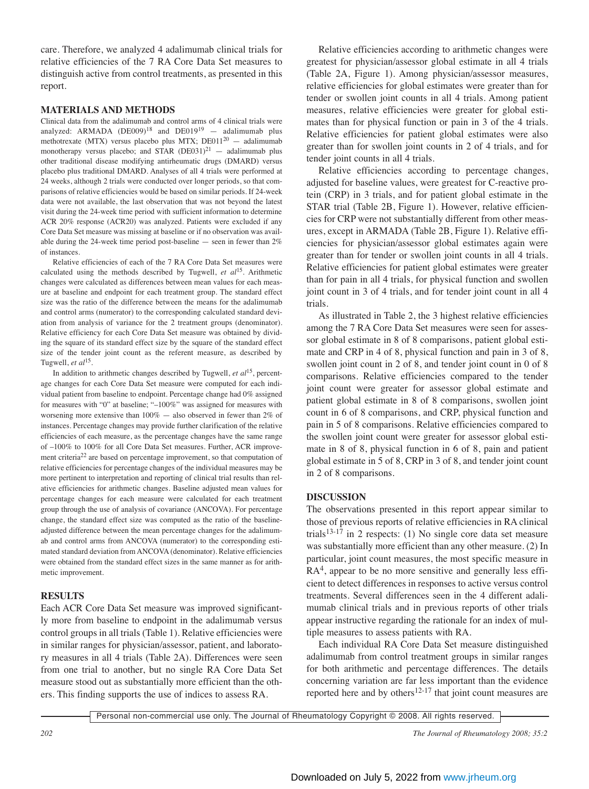care. Therefore, we analyzed 4 adalimumab clinical trials for relative efficiencies of the 7 RA Core Data Set measures to distinguish active from control treatments, as presented in this report.

# **MATERIALS AND METHODS**

Clinical data from the adalimumab and control arms of 4 clinical trials were analyzed: ARMADA  $(DE009)^{18}$  and  $DE019^{19}$  - adalimumab plus methotrexate (MTX) versus placebo plus MTX; DE011<sup>20</sup> - adalimumab monotherapy versus placebo; and STAR  $(DE031)^{21}$  - adalimumab plus other traditional disease modifying antirheumatic drugs (DMARD) versus placebo plus traditional DMARD. Analyses of all 4 trials were performed at 24 weeks, although 2 trials were conducted over longer periods, so that comparisons of relative efficiencies would be based on similar periods. If 24-week data were not available, the last observation that was not beyond the latest visit during the 24-week time period with sufficient information to determine ACR 20% response (ACR20) was analyzed. Patients were excluded if any Core Data Set measure was missing at baseline or if no observation was available during the 24-week time period post-baseline — seen in fewer than 2% of instances.

Relative efficiencies of each of the 7 RA Core Data Set measures were calculated using the methods described by Tugwell, *et al*15. Arithmetic changes were calculated as differences between mean values for each measure at baseline and endpoint for each treatment group. The standard effect size was the ratio of the difference between the means for the adalimumab and control arms (numerator) to the corresponding calculated standard deviation from analysis of variance for the 2 treatment groups (denominator). Relative efficiency for each Core Data Set measure was obtained by dividing the square of its standard effect size by the square of the standard effect size of the tender joint count as the referent measure, as described by Tugwell, *et al*15.

In addition to arithmetic changes described by Tugwell, *et al*15, percentage changes for each Core Data Set measure were computed for each individual patient from baseline to endpoint. Percentage change had 0% assigned for measures with "0" at baseline; "–100%" was assigned for measures with worsening more extensive than 100% — also observed in fewer than 2% of instances. Percentage changes may provide further clarification of the relative efficiencies of each measure, as the percentage changes have the same range of –100% to 100% for all Core Data Set measures. Further, ACR improvement criteria22 are based on percentage improvement, so that computation of relative efficiencies for percentage changes of the individual measures may be more pertinent to interpretation and reporting of clinical trial results than relative efficiencies for arithmetic changes. Baseline adjusted mean values for percentage changes for each measure were calculated for each treatment group through the use of analysis of covariance (ANCOVA). For percentage change, the standard effect size was computed as the ratio of the baselineadjusted difference between the mean percentage changes for the adalimumab and control arms from ANCOVA (numerator) to the corresponding estimated standard deviation from ANCOVA (denominator). Relative efficiencies were obtained from the standard effect sizes in the same manner as for arithmetic improvement.

# **RESULTS**

Each ACR Core Data Set measure was improved significantly more from baseline to endpoint in the adalimumab versus control groups in all trials (Table 1). Relative efficiencies were in similar ranges for physician/assessor, patient, and laboratory measures in all 4 trials (Table 2A). Differences were seen from one trial to another, but no single RA Core Data Set measure stood out as substantially more efficient than the others. This finding supports the use of indices to assess RA.

Relative efficiencies according to arithmetic changes were greatest for physician/assessor global estimate in all 4 trials (Table 2A, Figure 1). Among physician/assessor measures, relative efficiencies for global estimates were greater than for tender or swollen joint counts in all 4 trials. Among patient measures, relative efficiencies were greater for global estimates than for physical function or pain in 3 of the 4 trials. Relative efficiencies for patient global estimates were also greater than for swollen joint counts in 2 of 4 trials, and for tender joint counts in all 4 trials.

Relative efficiencies according to percentage changes, adjusted for baseline values, were greatest for C-reactive protein (CRP) in 3 trials, and for patient global estimate in the STAR trial (Table 2B, Figure 1). However, relative efficiencies for CRP were not substantially different from other measures, except in ARMADA (Table 2B, Figure 1). Relative efficiencies for physician/assessor global estimates again were greater than for tender or swollen joint counts in all 4 trials. Relative efficiencies for patient global estimates were greater than for pain in all 4 trials, for physical function and swollen joint count in 3 of 4 trials, and for tender joint count in all 4 trials.

As illustrated in Table 2, the 3 highest relative efficiencies among the 7 RA Core Data Set measures were seen for assessor global estimate in 8 of 8 comparisons, patient global estimate and CRP in 4 of 8, physical function and pain in 3 of 8, swollen joint count in 2 of 8, and tender joint count in 0 of 8 comparisons. Relative efficiencies compared to the tender joint count were greater for assessor global estimate and patient global estimate in 8 of 8 comparisons, swollen joint count in 6 of 8 comparisons, and CRP, physical function and pain in 5 of 8 comparisons. Relative efficiencies compared to the swollen joint count were greater for assessor global estimate in 8 of 8, physical function in 6 of 8, pain and patient global estimate in 5 of 8, CRP in 3 of 8, and tender joint count in 2 of 8 comparisons.

# **DISCUSSION**

The observations presented in this report appear similar to those of previous reports of relative efficiencies in RA clinical trials<sup>13-17</sup> in 2 respects: (1) No single core data set measure was substantially more efficient than any other measure. (2) In particular, joint count measures, the most specific measure in RA<sup>4</sup>, appear to be no more sensitive and generally less efficient to detect differences in responses to active versus control treatments. Several differences seen in the 4 different adalimumab clinical trials and in previous reports of other trials appear instructive regarding the rationale for an index of multiple measures to assess patients with RA.

Each individual RA Core Data Set measure distinguished adalimumab from control treatment groups in similar ranges for both arithmetic and percentage differences. The details concerning variation are far less important than the evidence reported here and by others<sup>12-17</sup> that joint count measures are

Personal non-commercial use only. The Journal of Rheumatology Copyright © 2008. All rights reserved.

*202 The Journal of Rheumatology 2008; 35:2*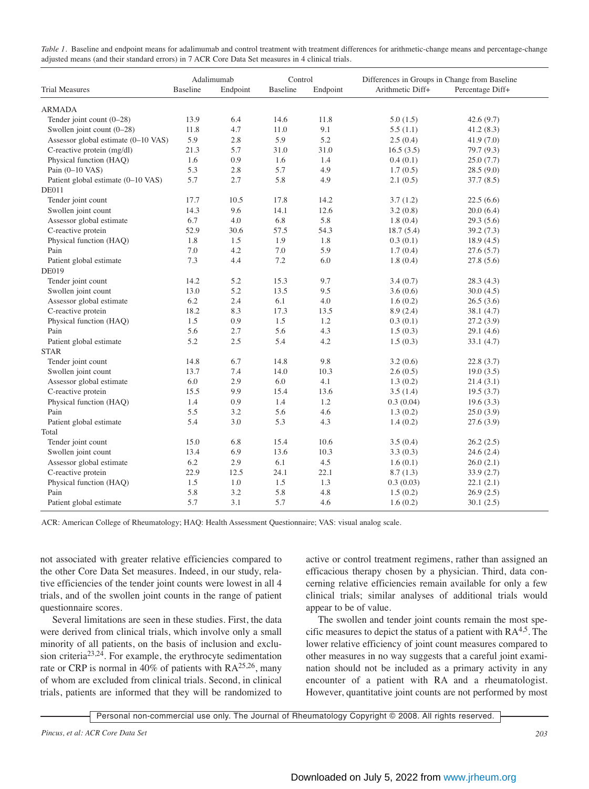| Table 1. Baseline and endpoint means for adalimumab and control treatment with treatment differences for arithmetic-change means and percentage-change |  |
|--------------------------------------------------------------------------------------------------------------------------------------------------------|--|
| adjusted means (and their standard errors) in 7 ACR Core Data Set measures in 4 clinical trials.                                                       |  |

|                                     | Adalimumab |          | Control  |          | Differences in Groups in Change from Baseline |                  |
|-------------------------------------|------------|----------|----------|----------|-----------------------------------------------|------------------|
| <b>Trial Measures</b>               | Baseline   | Endpoint | Baseline | Endpoint | Arithmetic Diff+                              | Percentage Diff+ |
| <b>ARMADA</b>                       |            |          |          |          |                                               |                  |
| Tender joint count (0-28)           | 13.9       | 6.4      | 14.6     | 11.8     | 5.0(1.5)                                      | 42.6(9.7)        |
| Swollen joint count (0-28)          | 11.8       | 4.7      | 11.0     | 9.1      | 5.5(1.1)                                      | 41.2(8.3)        |
| Assessor global estimate (0-10 VAS) | 5.9        | 2.8      | 5.9      | 5.2      | 2.5(0.4)                                      | 41.9(7.0)        |
| C-reactive protein (mg/dl)          | 21.3       | 5.7      | 31.0     | 31.0     | 16.5(3.5)                                     | 79.7 (9.3)       |
| Physical function (HAQ)             | 1.6        | 0.9      | 1.6      | 1.4      | 0.4(0.1)                                      | 25.0(7.7)        |
| Pain (0-10 VAS)                     | 5.3        | 2.8      | 5.7      | 4.9      | 1.7(0.5)                                      | 28.5(9.0)        |
| Patient global estimate (0-10 VAS)  | 5.7        | 2.7      | 5.8      | 4.9      | 2.1(0.5)                                      | 37.7 (8.5)       |
| <b>DE011</b>                        |            |          |          |          |                                               |                  |
| Tender joint count                  | 17.7       | 10.5     | 17.8     | 14.2     | 3.7(1.2)                                      | 22.5(6.6)        |
| Swollen joint count                 | 14.3       | 9.6      | 14.1     | 12.6     | 3.2(0.8)                                      | 20.0(6.4)        |
| Assessor global estimate            | 6.7        | 4.0      | 6.8      | 5.8      | 1.8(0.4)                                      | 29.3(5.6)        |
| C-reactive protein                  | 52.9       | 30.6     | 57.5     | 54.3     | 18.7(5.4)                                     | 39.2(7.3)        |
| Physical function (HAQ)             | 1.8        | 1.5      | 1.9      | 1.8      | 0.3(0.1)                                      | 18.9(4.5)        |
| Pain                                | 7.0        | 4.2      | 7.0      | 5.9      | 1.7(0.4)                                      | 27.6(5.7)        |
| Patient global estimate             | 7.3        | 4.4      | 7.2      | 6.0      | 1.8(0.4)                                      | 27.8(5.6)        |
| DE019                               |            |          |          |          |                                               |                  |
| Tender joint count                  | 14.2       | 5.2      | 15.3     | 9.7      | 3.4(0.7)                                      | 28.3 (4.3)       |
| Swollen joint count                 | 13.0       | 5.2      | 13.5     | 9.5      | 3.6(0.6)                                      | 30.0(4.5)        |
| Assessor global estimate            | 6.2        | 2.4      | 6.1      | 4.0      | 1.6(0.2)                                      | 26.5(3.6)        |
| C-reactive protein                  | 18.2       | 8.3      | 17.3     | 13.5     | 8.9(2.4)                                      | 38.1 (4.7)       |
| Physical function (HAQ)             | 1.5        | 0.9      | 1.5      | 1.2      | 0.3(0.1)                                      | 27.2(3.9)        |
| Pain                                | 5.6        | 2.7      | 5.6      | 4.3      | 1.5(0.3)                                      | 29.1(4.6)        |
| Patient global estimate             | 5.2        | $2.5\,$  | 5.4      | $4.2\,$  | 1.5(0.3)                                      | 33.1 (4.7)       |
| <b>STAR</b>                         |            |          |          |          |                                               |                  |
| Tender joint count                  | 14.8       | 6.7      | 14.8     | 9.8      | 3.2(0.6)                                      | 22.8(3.7)        |
| Swollen joint count                 | 13.7       | 7.4      | 14.0     | 10.3     | 2.6(0.5)                                      | 19.0(3.5)        |
| Assessor global estimate            | 6.0        | 2.9      | 6.0      | 4.1      | 1.3(0.2)                                      | 21.4 (3.1)       |
| C-reactive protein                  | 15.5       | 9.9      | 15.4     | 13.6     | 3.5(1.4)                                      | 19.5(3.7)        |
| Physical function (HAQ)             | 1.4        | 0.9      | 1.4      | 1.2      | 0.3(0.04)                                     | 19.6(3.3)        |
| Pain                                | 5.5        | 3.2      | 5.6      | 4.6      | 1.3(0.2)                                      | 25.0(3.9)        |
| Patient global estimate             | 5.4        | 3.0      | 5.3      | 4.3      | 1.4(0.2)                                      | 27.6(3.9)        |
| Total                               |            |          |          |          |                                               |                  |
| Tender joint count                  | 15.0       | 6.8      | 15.4     | 10.6     | 3.5(0.4)                                      | 26.2(2.5)        |
| Swollen joint count                 | 13.4       | 6.9      | 13.6     | 10.3     | 3.3(0.3)                                      | 24.6(2.4)        |
| Assessor global estimate            | 6.2        | 2.9      | 6.1      | $4.5\,$  | 1.6(0.1)                                      | 26.0(2.1)        |
| C-reactive protein                  | 22.9       | 12.5     | 24.1     | 22.1     | 8.7(1.3)                                      | 33.9(2.7)        |
| Physical function (HAQ)             | 1.5        | 1.0      | 1.5      | 1.3      | 0.3(0.03)                                     | 22.1(2.1)        |
| Pain                                | 5.8        | 3.2      | 5.8      | 4.8      | 1.5(0.2)                                      | 26.9(2.5)        |
| Patient global estimate             | 5.7        | 3.1      | 5.7      | 4.6      | 1.6(0.2)                                      | 30.1(2.5)        |

ACR: American College of Rheumatology; HAQ: Health Assessment Questionnaire; VAS: visual analog scale.

not associated with greater relative efficiencies compared to the other Core Data Set measures. Indeed, in our study, relative efficiencies of the tender joint counts were lowest in all 4 trials, and of the swollen joint counts in the range of patient questionnaire scores.

Several limitations are seen in these studies. First, the data were derived from clinical trials, which involve only a small minority of all patients, on the basis of inclusion and exclusion criteria23,24. For example, the erythrocyte sedimentation rate or CRP is normal in  $40\%$  of patients with RA<sup>25,26</sup>, many of whom are excluded from clinical trials. Second, in clinical trials, patients are informed that they will be randomized to active or control treatment regimens, rather than assigned an efficacious therapy chosen by a physician. Third, data concerning relative efficiencies remain available for only a few clinical trials; similar analyses of additional trials would appear to be of value.

The swollen and tender joint counts remain the most specific measures to depict the status of a patient with  $RA<sup>4,5</sup>$ . The lower relative efficiency of joint count measures compared to other measures in no way suggests that a careful joint examination should not be included as a primary activity in any encounter of a patient with RA and a rheumatologist. However, quantitative joint counts are not performed by most

Personal non-commercial use only. The Journal of Rheumatology Copyright © 2008. All rights reserved.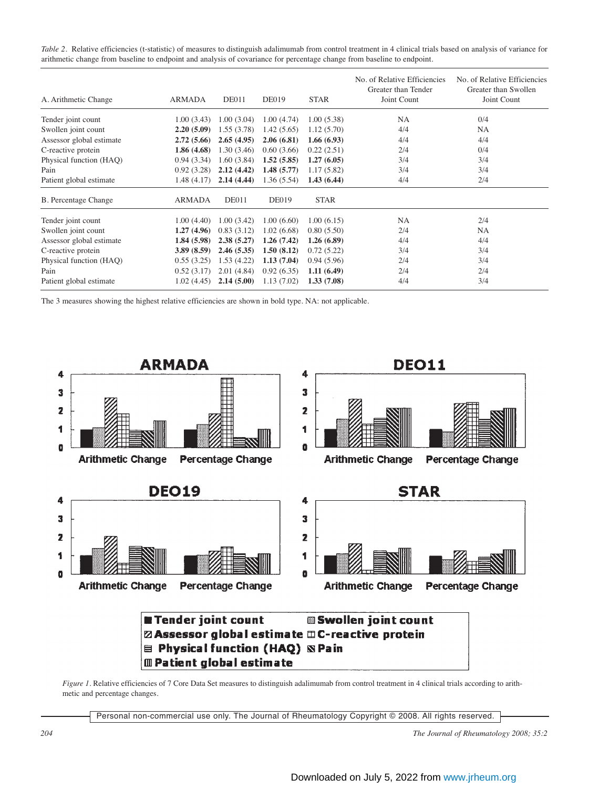*Table 2.* Relative efficiencies (t-statistic) of measures to distinguish adalimumab from control treatment in 4 clinical trials based on analysis of variance for arithmetic change from baseline to endpoint and analysis of covariance for percentage change from baseline to endpoint.

| A. Arithmetic Change        | <b>ARMADA</b> | DE011        | <b>DE019</b> | <b>STAR</b> | No. of Relative Efficiencies<br>Greater than Tender<br>Joint Count | No. of Relative Efficiencies<br>Greater than Swollen<br>Joint Count |
|-----------------------------|---------------|--------------|--------------|-------------|--------------------------------------------------------------------|---------------------------------------------------------------------|
| Tender joint count          | 1.00(3.43)    | 1.00(3.04)   | 1.00(4.74)   | 1.00(5.38)  | NA                                                                 | 0/4                                                                 |
| Swollen joint count         | 2.20(5.09)    | 1.55(3.78)   | 1.42(5.65)   | 1.12(5.70)  | 4/4                                                                | NA                                                                  |
| Assessor global estimate    | 2.72(5.66)    | 2.65(4.95)   | 2.06(6.81)   | 1.66(6.93)  | 4/4                                                                | 4/4                                                                 |
| C-reactive protein          | 1.86(4.68)    | 1.30(3.46)   | 0.60(3.66)   | 0.22(2.51)  | 2/4                                                                | 0/4                                                                 |
| Physical function (HAQ)     | 0.94(3.34)    | 1.60(3.84)   | 1.52(5.85)   | 1.27(6.05)  | 3/4                                                                | 3/4                                                                 |
| Pain                        | 0.92(3.28)    | 2.12(4.42)   | 1.48(5.77)   | 1.17 (5.82) | 3/4                                                                | 3/4                                                                 |
| Patient global estimate     | 1.48(4.17)    | 2.14(4.44)   | 1.36(5.54)   | 1.43(6.44)  | 4/4                                                                | 2/4                                                                 |
| <b>B.</b> Percentage Change | <b>ARMADA</b> | <b>DE011</b> | <b>DE019</b> | <b>STAR</b> |                                                                    |                                                                     |
| Tender joint count          | 1.00(4.40)    | 1.00(3.42)   | 1.00(6.60)   | 1.00(6.15)  | <b>NA</b>                                                          | 2/4                                                                 |
| Swollen joint count         | 1.27(4.96)    | 0.83(3.12)   | 1.02(6.68)   | 0.80(5.50)  | 2/4                                                                | <b>NA</b>                                                           |
| Assessor global estimate    | 1.84(5.98)    | 2.38(5.27)   | 1.26(7.42)   | 1.26(6.89)  | 4/4                                                                | 4/4                                                                 |
| C-reactive protein          | 3.89(8.59)    | 2.46(5.35)   | 1.50(8.12)   | 0.72(5.22)  | 3/4                                                                | 3/4                                                                 |
| Physical function (HAQ)     | 0.55(3.25)    | 1.53(4.22)   | 1.13(7.04)   | 0.94(5.96)  | 2/4                                                                | 3/4                                                                 |
| Pain                        | 0.52(3.17)    | 2.01(4.84)   | 0.92(6.35)   | 1.11(6.49)  | 2/4                                                                | 2/4                                                                 |
| Patient global estimate     | 1.02(4.45)    | 2.14(5.00)   | 1.13(7.02)   | 1.33(7.08)  | 4/4                                                                | 3/4                                                                 |

The 3 measures showing the highest relative efficiencies are shown in bold type. NA: not applicable.



**III Patient global estimate** 

*Figure 1*. Relative efficiencies of 7 Core Data Set measures to distinguish adalimumab from control treatment in 4 clinical trials according to arithmetic and percentage changes.

Personal non-commercial use only. The Journal of Rheumatology Copyright © 2008. All rights reserved.

*204 The Journal of Rheumatology 2008; 35:2*